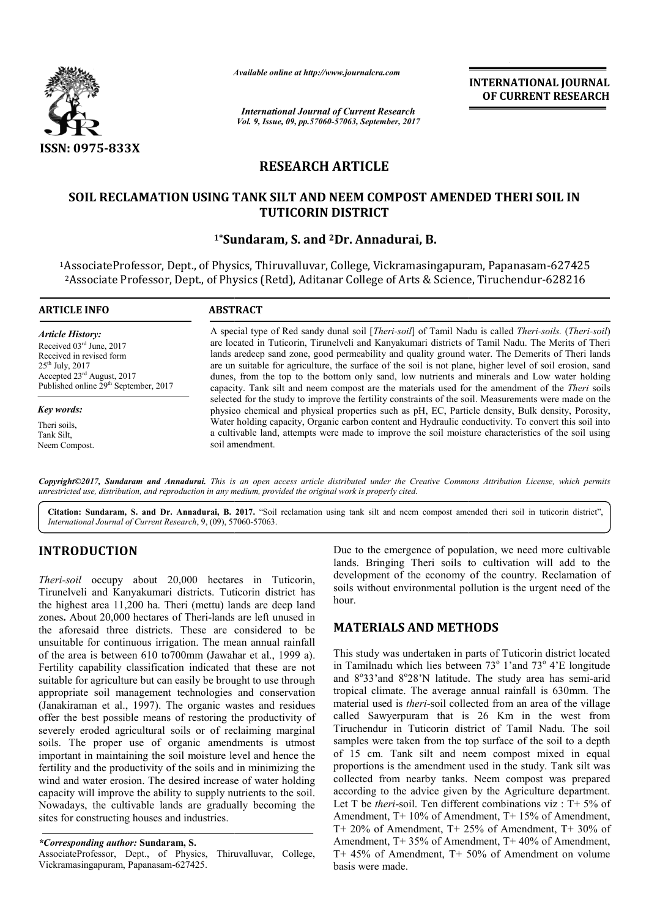

*Available online at http://www.journal http://www.journalcra.com*

*International Journal of Current Research Vol. 9, Issue, 09, pp.57060-57063, September, 2017* **INTERNATIONAL JOURNAL OF CURRENT RESEARCH** 

# **RESEARCH ARTICLE**

### SOIL RECLAMATION USING TANK SILT AND NEEM COMPOST AMENDED THERI SOIL IN **TUTICORIN DISTRICT**

### **1\*Sundaram, Sundaram, S. and 2Dr. Annadurai, B.**

1AssociateProfessor, Dept., of Physics, Thiruvalluvar, College, Vickramasingapuram, College, Vickramasingapuram, Papanasam-627425 2Associate Professor, Dept., of Physics (Retd), Aditanar College of Arts & Science Science, Tiruchendur-628216

#### **ARTICLE INFO ABSTRACT** A special type of Red sandy dunal soil [*Theri-soil*] of Tamil Nadu is called *Theri-soils*. (*Theri-soil*) are located in Tuticorin, Tirunelveli and Kanyakumari districts of Tamil Nadu. The Merits of Theri lands aredeep sand zone, good permeability and quality ground water. The Demerits of Theri lands are un suitable for agriculture, the surface of the soil is not plane, higher level of soil erosion, sand dunes, from the top to the bottom only sand, low nutrients and minerals and Low water holding dunes, from the top to the bottom only sand, low nutrients and minerals and Low water holding capacity. Tank silt and neem compost are the materials used for the amendment of the *Theri* soils *Article History:* Received 03rd June, 2017 Received in revised form  $25<sup>th</sup>$  July,  $2017$ Accepted 23rd August, 2017 Published online 29<sup>th</sup> September, 2017

*Key words:*

Theri soils, Tank Silt, Neem Compost. selected for the study to improve the fertility constraints of the soil. Measurements were made on the physico chemical and physical properties such as pH, EC, Particle density density, Bulk density, Porosity, Water holding capacity, Organic carbon content and Hydraulic conductivity. To convert this soil into a cultivable land, attempts were made to improve the soil moisture characteristics of the soil using soil amendment.

Copyright©2017, Sundaram and Annadurai. This is an open access article distributed under the Creative Commons Attribution License, which permits *unrestricted use, distribution, and reproduction in any medium, provided the original work is properly cited.*

Citation: Sundaram, S. and Dr. Annadurai, B. 2017. "Soil reclamation using tank silt and neem compost amended theri soil in tuticorin district", *International Journal of Current Research*, 9, (09), 57060 57060-57063.

## **INTRODUCTION**

*Theri-soil* occupy about 20,000 hectares in Tuticorin, Tirunelveli and Kanyakumari districts. Tuticorin district has the highest area 11,200 ha. Theri (mettu) lands are deep land zones. About 20,000 hectares of Theri-lands are left unused in the aforesaid three districts. These are considered to be unsuitable for continuous irrigation. The mean annual rainfall of the area is between 610 to700mm (Jawahar et al., 1999 a). Fertility capability classification indicated that these are not suitable for agriculture but can easily be brought to use through appropriate soil management technologies and conservation (Janakiraman et al., 1997). The organic wastes and residues offer the best possible means of restoring the productivity of severely eroded agricultural soils or of reclaiming marginal soils. The proper use of organic amendments is utmost important in maintaining the soil moisture level and hence the fertility and the productivity of the soils and in minimizing the wind and water erosion. The desired increase of water holding capacity will improve the ability to supply nutrients to the soil. Nowadays, the cultivable lands are gradually becoming the sites for constructing houses and industries. t technologies and conservation<br>The organic wastes and residues<br>s of restoring the productivity of<br>soils or of reclaiming marginal<br>organic amendments is utmost<br>soil moisture level and hence the<br>of the soils and in minimizi Due to the emergence of population, we need more cultivable lands. Bringing Theri soils to cultivation will add to the development of the economy of the country. Reclamation of soils without environmental pollution is the urgent need of the hour. nergence of population, we need more cultivable<br>ng Theri soils to cultivation will add to the<br>of the economy of the country. Reclamation of<br>environmental pollution is the urgent need of the

## **MATERIALS AND METHODS ALS METHODS**

This study was undertaken in parts of Tuticorin district located in Tamilnadu which lies between 73° 1'and 73° 4'E longitude and 8°33'and 8°28'N latitude. The study area has semi-arid tropical climate. The average annual rainfall is 630mm. The material used is *theri*-soil collected from an area of the village called Sawyerpuram that is 26 Km in the west from Tiruchendur in Tuticorin district of Tamil Nadu. The soil samples were taken from the top surface of the soil to a depth of 15 cm. Tank silt and neem compost mixed in equal of 15 cm. Tank silt and neem compost mixed in equal proportions is the amendment used in the study. Tank silt was collected from nearby tanks. Neem compost was prepared according to the advice given by the Agriculture department. Let T be *theri*-soil. Ten different combinations viz : T+ 5% of Amendment, T+ 10% of Amendment, T+ 15% of Amendment, T+ 20% of Amendment, T+ 25% of Amendment, T+ 30% of Amendment, T+ 35% of Amendment, T+ 40% of Amendment, T+ 45% of Amendment, T+ 50% of Amendment on volume basis were made. material used is *theri*-soil collected from an area of the village called Sawyerpuram that is 26 Km in the west from Tiruchendur in Tuticorin district of Tamil Nadu. The soil **CORTIFIER (CONTRIGENT)**<br> **CORTIFIER (CORTIFIERT SOIL IN**<br> **CORTIFIERT CORTIFIERT SOIL IN**<br> **CORTIFIERT COMPOST AMENDED THERI SOIL IN**<br> **CORTIFIERT**<br> **CORTIFIERT**<br> **CORTIFIERT**<br> **CORTIFIERT**<br> **CORTIFIERT**<br> **CORTIFIERT**<br>

*<sup>\*</sup>Corresponding author:* **Sundaram, S.**

AssociateProfessor, Dept., of Physics, Thiruvalluvar, College, Vickramasingapuram, Papanasam-627425.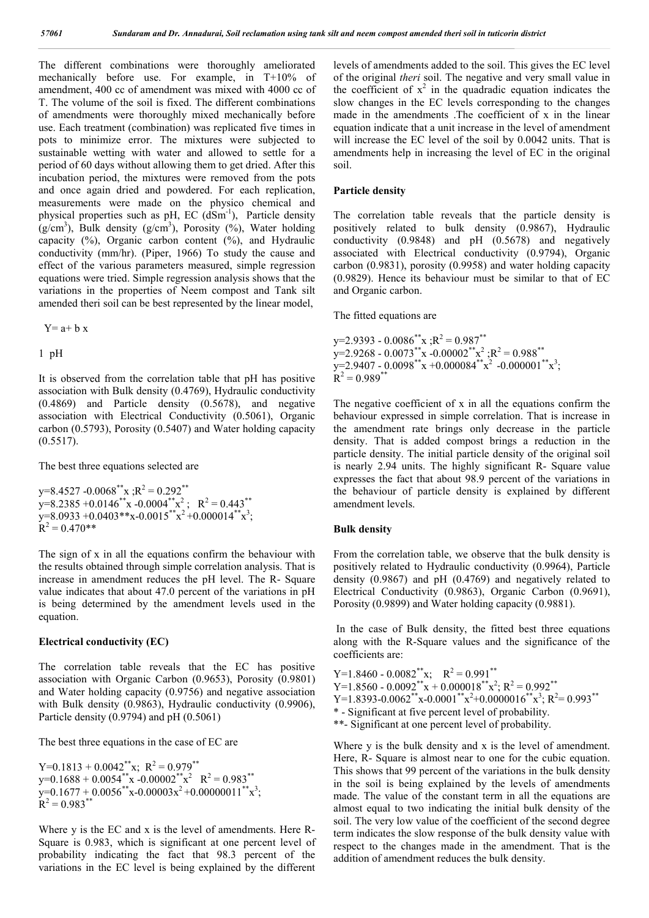The different combinations were thoroughly ameliorated mechanically before use. For example, in T+10% of amendment, 400 cc of amendment was mixed with 4000 cc of T. The volume of the soil is fixed. The different combinations of amendments were thoroughly mixed mechanically before use. Each treatment (combination) was replicated five times in pots to minimize error. The mixtures were subjected to sustainable wetting with water and allowed to settle for a period of 60 days without allowing them to get dried. After this incubation period, the mixtures were removed from the pots and once again dried and powdered. For each replication, measurements were made on the physico chemical and physical properties such as pH,  $EC$  ( $dSm^{-1}$ ), Particle density  $(g/cm<sup>3</sup>)$ , Bulk density  $(g/cm<sup>3</sup>)$ , Porosity  $(%),$  Water holding capacity  $(\%)$ , Organic carbon content  $(\%)$ , and Hydraulic conductivity (mm/hr). (Piper, 1966) To study the cause and effect of the various parameters measured, simple regression equations were tried. Simple regression analysis shows that the variations in the properties of Neem compost and Tank silt amended theri soil can be best represented by the linear model,

 $Y= a+b x$ 

#### 1 pH

It is observed from the correlation table that pH has positive association with Bulk density (0.4769), Hydraulic conductivity (0.4869) and Particle density (0.5678), and negative association with Electrical Conductivity (0.5061), Organic carbon (0.5793), Porosity (0.5407) and Water holding capacity  $(0.5517)$ .

The best three equations selected are

 $y=8.4527 -0.0068$ <sup>\*\*</sup>x ; $R^2 = 0.292$ <sup>\*\*</sup>  $y=8.2385 +0.0146^{**}x -0.0004^{**}x^2$ ;  $R^2 = 0.443^{**}$  $y=8.0933 + 0.0403**x-0.0015**x^2+0.000014**x^3;$  $R^2 = 0.470**$ 

The sign of x in all the equations confirm the behaviour with the results obtained through simple correlation analysis. That is increase in amendment reduces the pH level. The R- Square value indicates that about 47.0 percent of the variations in pH is being determined by the amendment levels used in the equation.

#### **Electrical conductivity (EC)**

The correlation table reveals that the EC has positive association with Organic Carbon (0.9653), Porosity (0.9801) and Water holding capacity (0.9756) and negative association with Bulk density (0.9863), Hydraulic conductivity (0.9906), Particle density (0.9794) and pH (0.5061)

The best three equations in the case of EC are

 $Y=0.1813 + 0.0042$ <sup>\*\*</sup>x;  $R^2 = 0.979$ <sup>\*\*</sup>  $y=0.1688 + 0.0054$ <sup>\*\*</sup>x -0.00002<sup>\*\*</sup>x<sup>2</sup>  $R^2 = 0.983$ <sup>\*\*</sup>  $y=0.1677 + 0.0056$ \*\*x-0.00003x<sup>2</sup> +0.00000011\*\*x<sup>3</sup>;  $R^2 = 0.983$ \*\*

Where y is the EC and x is the level of amendments. Here R-Square is 0.983, which is significant at one percent level of probability indicating the fact that 98.3 percent of the variations in the EC level is being explained by the different

levels of amendments added to the soil. This gives the EC level of the original *theri* soil. The negative and very small value in the coefficient of  $x^2$  in the quadradic equation indicates the slow changes in the EC levels corresponding to the changes made in the amendments .The coefficient of x in the linear equation indicate that a unit increase in the level of amendment will increase the EC level of the soil by 0.0042 units. That is amendments help in increasing the level of EC in the original soil.

#### **Particle density**

The correlation table reveals that the particle density is positively related to bulk density (0.9867), Hydraulic conductivity (0.9848) and pH (0.5678) and negatively associated with Electrical conductivity (0.9794), Organic carbon (0.9831), porosity (0.9958) and water holding capacity (0.9829). Hence its behaviour must be similar to that of EC and Organic carbon.

The fitted equations are

 $y=2.9393 - 0.0086^{**}x :R^2 = 0.987^{**}$  $y=2.9268 - 0.0073** \times 0.00002** \times 2; R^2 = 0.988**$  $y=2.9407 - 0.0098** x + 0.000084** x^2 - 0.000001** x^3;$  $R^2 = 0.989$ \*\*

The negative coefficient of x in all the equations confirm the behaviour expressed in simple correlation. That is increase in the amendment rate brings only decrease in the particle density. That is added compost brings a reduction in the particle density. The initial particle density of the original soil is nearly 2.94 units. The highly significant R- Square value expresses the fact that about 98.9 percent of the variations in the behaviour of particle density is explained by different amendment levels.

#### **Bulk density**

From the correlation table, we observe that the bulk density is positively related to Hydraulic conductivity (0.9964), Particle density (0.9867) and pH (0.4769) and negatively related to Electrical Conductivity (0.9863), Organic Carbon (0.9691), Porosity (0.9899) and Water holding capacity (0.9881).

In the case of Bulk density, the fitted best three equations along with the R-Square values and the significance of the coefficients are:

Y=1.8460 - 0.0082<sup>\*\*</sup>x;  $R^2 = 0.991^{**}$ Y=1.8560 -  $0.0092^{**}x + 0.000018^{**}x^2$ ; R<sup>2</sup> =  $0.992^{**}$ Y=1.8393-0.0062\*\*x-0.0001<sup>\*\*</sup>x<sup>2</sup>+0.0000016\*\*x<sup>3</sup>; R<sup>2</sup>= 0.993\*\* \* - Significant at five percent level of probability. \*\*- Significant at one percent level of probability.

Where y is the bulk density and x is the level of amendment. Here, R- Square is almost near to one for the cubic equation. This shows that 99 percent of the variations in the bulk density in the soil is being explained by the levels of amendments made. The value of the constant term in all the equations are almost equal to two indicating the initial bulk density of the soil. The very low value of the coefficient of the second degree term indicates the slow response of the bulk density value with respect to the changes made in the amendment. That is the addition of amendment reduces the bulk density.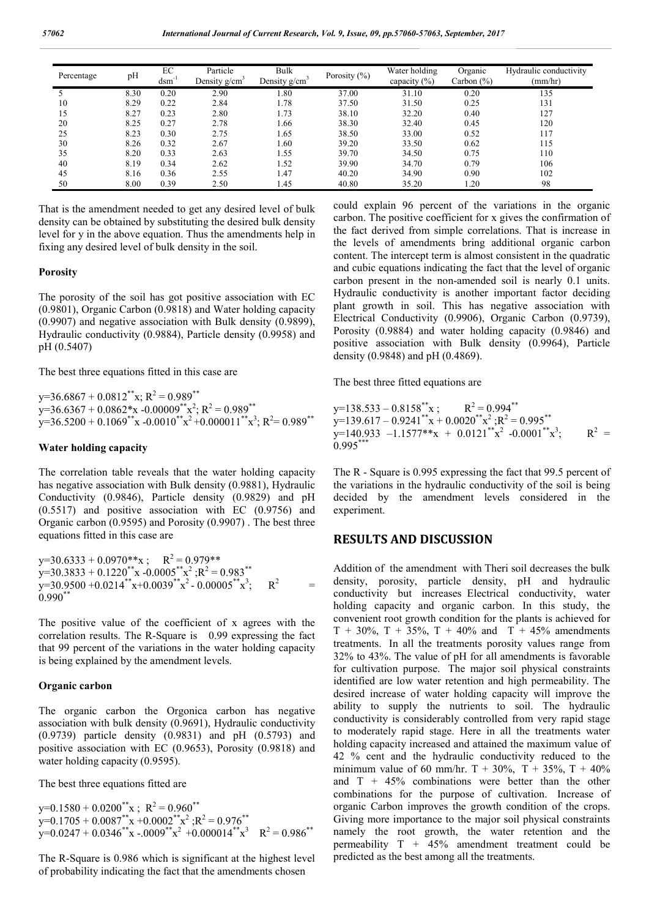| Percentage | pH   | EC<br>$dcm^{-1}$ | Particle<br>Density g/cm <sup>3</sup> | Bulk<br>Density g/cm <sup>3</sup> | Porosity $(\% )$ | Water holding<br>capacity $(\% )$ | Organic<br>Carbon $(\% )$ | Hydraulic conductivity<br>(mm/hr) |
|------------|------|------------------|---------------------------------------|-----------------------------------|------------------|-----------------------------------|---------------------------|-----------------------------------|
|            | 8.30 | 0.20             | 2.90                                  | 1.80                              | 37.00            | 31.10                             | 0.20                      | 135                               |
| 10         | 8.29 | 0.22             | 2.84                                  | 1.78                              | 37.50            | 31.50                             | 0.25                      | 131                               |
| 15         | 8.27 | 0.23             | 2.80                                  | 1.73                              | 38.10            | 32.20                             | 0.40                      | 127                               |
| 20         | 8.25 | 0.27             | 2.78                                  | 1.66                              | 38.30            | 32.40                             | 0.45                      | 120                               |
| 25         | 8.23 | 0.30             | 2.75                                  | 1.65                              | 38.50            | 33.00                             | 0.52                      | 117                               |
| 30         | 8.26 | 0.32             | 2.67                                  | 1.60                              | 39.20            | 33.50                             | 0.62                      | 115                               |
| 35         | 8.20 | 0.33             | 2.63                                  | 1.55                              | 39.70            | 34.50                             | 0.75                      | 110                               |
| 40         | 8.19 | 0.34             | 2.62                                  | 1.52                              | 39.90            | 34.70                             | 0.79                      | 106                               |
| 45         | 8.16 | 0.36             | 2.55                                  | 1.47                              | 40.20            | 34.90                             | 0.90                      | 102                               |
| 50         | 8.00 | 0.39             | 2.50                                  | 1.45                              | 40.80            | 35.20                             | 1.20                      | 98                                |

That is the amendment needed to get any desired level of bulk density can be obtained by substituting the desired bulk density level for y in the above equation. Thus the amendments help in fixing any desired level of bulk density in the soil.

#### **Porosity**

The porosity of the soil has got positive association with EC (0.9801), Organic Carbon (0.9818) and Water holding capacity (0.9907) and negative association with Bulk density (0.9899), Hydraulic conductivity (0.9884), Particle density (0.9958) and pH (0.5407)

The best three equations fitted in this case are

 $y=36.6867 + 0.0812^{**}x$ ;  $R^2 = 0.989^{**}$  $y=36.6367 + 0.0862*x - 0.00009**x^2; R^2 = 0.989**$  $y=36.5200 + 0.1069$ <sup>\*\*</sup>x -0.0010<sup>\*\*</sup>x<sup>2</sup> +0.000011<sup>\*\*</sup>x<sup>3</sup>; R<sup>2</sup>= 0.989<sup>\*\*</sup>

#### **Water holding capacity**

The correlation table reveals that the water holding capacity has negative association with Bulk density (0.9881), Hydraulic Conductivity (0.9846), Particle density (0.9829) and pH (0.5517) and positive association with EC (0.9756) and Organic carbon (0.9595) and Porosity (0.9907) . The best three equations fitted in this case are

 $y=30.6333 + 0.0970**x$ ;  $R^2 = 0.979**$  $y=30.3833 + 0.1220^{**}x - 0.0005^{**}x^2$ ;  $R^2 = 0.983^{**}$  $y=30.9500 + 0.0214**x+0.0039**x^2 - 0.00005**x^3$ ;  $R^2$  $0.990**$ 

The positive value of the coefficient of x agrees with the correlation results. The R-Square is 0.99 expressing the fact that 99 percent of the variations in the water holding capacity is being explained by the amendment levels.

#### **Organic carbon**

The organic carbon the Orgonica carbon has negative association with bulk density (0.9691), Hydraulic conductivity (0.9739) particle density (0.9831) and pH (0.5793) and positive association with EC (0.9653), Porosity (0.9818) and water holding capacity (0.9595).

The best three equations fitted are

 $y=0.1580 + 0.0200$ <sup>\*\*</sup>x;  $R^2 = 0.960$ <sup>\*\*</sup>  $y=0.1705 + 0.0087^{**}x + 0.0002^{**}x^2; R^2 = 0.976^{**}$  $y=0.0247 + 0.0346^{**}x - 0.009^{**}x^2 + 0.000014^{**}x^3$   $R^2 = 0.986^{**}$ 

The R-Square is 0.986 which is significant at the highest level of probability indicating the fact that the amendments chosen

could explain 96 percent of the variations in the organic carbon. The positive coefficient for x gives the confirmation of the fact derived from simple correlations. That is increase in the levels of amendments bring additional organic carbon content. The intercept term is almost consistent in the quadratic and cubic equations indicating the fact that the level of organic carbon present in the non-amended soil is nearly 0.1 units. Hydraulic conductivity is another important factor deciding plant growth in soil. This has negative association with Electrical Conductivity (0.9906), Organic Carbon (0.9739), Porosity (0.9884) and water holding capacity (0.9846) and positive association with Bulk density (0.9964), Particle density (0.9848) and pH (0.4869).

The best three fitted equations are

 $y=138.533 - 0.8158^{**}x$ ;  $R^2 = 0.994^{**}$  $y=139.617 - 0.9241^{**}x + 0.0020^{**}x^2$ ;  $R^2 = 0.995^{**}$  $y=140.933 -1.1577**x + 0.0121**x^2 -0.0001**x^3$ ;  $R^2$  =  $0.995***$ 

The R - Square is 0.995 expressing the fact that 99.5 percent of the variations in the hydraulic conductivity of the soil is being decided by the amendment levels considered in the experiment.

### **RESULTS AND DISCUSSION**

Addition of the amendment with Theri soil decreases the bulk density, porosity, particle density, pH and hydraulic conductivity but increases Electrical conductivity, water holding capacity and organic carbon. In this study, the convenient root growth condition for the plants is achieved for  $T + 30\%, T + 35\%, T + 40\%$  and  $T + 45\%$  amendments treatments. In all the treatments porosity values range from 32% to 43%. The value of pH for all amendments is favorable for cultivation purpose. The major soil physical constraints identified are low water retention and high permeability. The desired increase of water holding capacity will improve the ability to supply the nutrients to soil. The hydraulic conductivity is considerably controlled from very rapid stage to moderately rapid stage. Here in all the treatments water holding capacity increased and attained the maximum value of 42 % cent and the hydraulic conductivity reduced to the minimum value of 60 mm/hr. T + 30%, T + 35%, T + 40% and  $T + 45\%$  combinations were better than the other combinations for the purpose of cultivation. Increase of organic Carbon improves the growth condition of the crops. Giving more importance to the major soil physical constraints namely the root growth, the water retention and the permeability  $T + 45%$  amendment treatment could be predicted as the best among all the treatments.